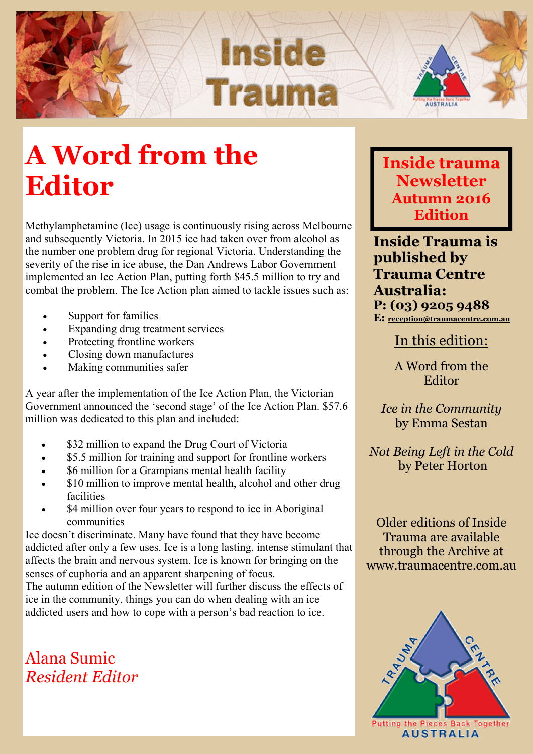

## **A Word from the Editor**

Methylamphetamine (Ice) usage is continuously rising across Melbourne and subsequently Victoria. In 2015 ice had taken over from alcohol as the number one problem drug for regional Victoria. Understanding the severity of the rise in ice abuse, the Dan Andrews Labor Government implemented an Ice Action Plan, putting forth \$45.5 million to try and combat the problem. The Ice Action plan aimed to tackle issues such as:

- Support for families
- Expanding drug treatment services
- Protecting frontline workers
- Closing down manufactures
- Making communities safer

A year after the implementation of the Ice Action Plan, the Victorian Government announced the 'second stage' of the Ice Action Plan. \$57.6 million was dedicated to this plan and included:

- \$32 million to expand the Drug Court of Victoria
- \$5.5 million for training and support for frontline workers
- \$6 million for a Grampians mental health facility
- \$10 million to improve mental health, alcohol and other drug facilities
- \$4 million over four years to respond to ice in Aboriginal communities

Ice doesn't discriminate. Many have found that they have become addicted after only a few uses. Ice is a long lasting, intense stimulant that affects the brain and nervous system. Ice is known for bringing on the senses of euphoria and an apparent sharpening of focus.

The autumn edition of the Newsletter will further discuss the effects of ice in the community, things you can do when dealing with an ice addicted users and how to cope with a person's bad reaction to ice.

Alana Sumic *Resident Editor*  **Inside trauma Newsletter Autumn 2016 Edition**

**Inside Trauma is published by Trauma Centre Australia: P: (03) 9205 9488 E: [reception@traumacentre.com.au](mailto:reception@traumacentre.com.au)**

In this edition:

A Word from the Editor

*Ice in the Community* by Emma Sestan

*Not Being Left in the Cold* by Peter Horton

Older editions of Inside Trauma are available through the Archive at www.traumacentre.com.au

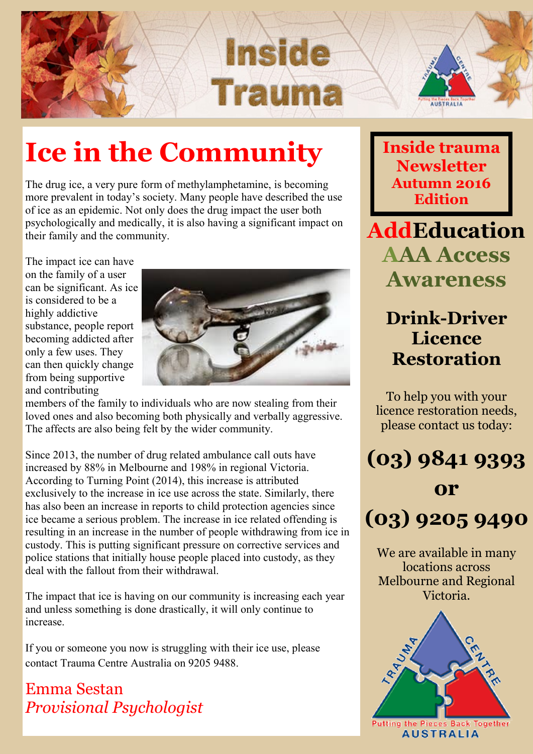



## **Ice in the Community**

The drug ice, a very pure form of methylamphetamine, is becoming more prevalent in today's society. Many people have described the use of ice as an epidemic. Not only does the drug impact the user both psychologically and medically, it is also having a significant impact on their family and the community.

The impact ice can have on the family of a user can be significant. As ice is considered to be a highly addictive substance, people report becoming addicted after only a few uses. They can then quickly change from being supportive and contributing



**Inside** 

Traum

members of the family to individuals who are now stealing from their loved ones and also becoming both physically and verbally aggressive. The affects are also being felt by the wider community.

Since 2013, the number of drug related ambulance call outs have increased by 88% in Melbourne and 198% in regional Victoria. According to Turning Point (2014), this increase is attributed exclusively to the increase in ice use across the state. Similarly, there has also been an increase in reports to child protection agencies since ice became a serious problem. The increase in ice related offending is resulting in an increase in the number of people withdrawing from ice in custody. This is putting significant pressure on corrective services and police stations that initially house people placed into custody, as they deal with the fallout from their withdrawal.

The impact that ice is having on our community is increasing each year and unless something is done drastically, it will only continue to increase.

If you or someone you now is struggling with their ice use, please contact Trauma Centre Australia on 9205 9488.

Emma Sestan *Provisional Psychologist* **Inside trauma Newsletter Autumn 2016 Edition**

**AddEducation AAA Access Awareness**

### **Drink-Driver Licence Restoration**

To help you with your licence restoration needs, please contact us today:



We are available in many locations across Melbourne and Regional Victoria.

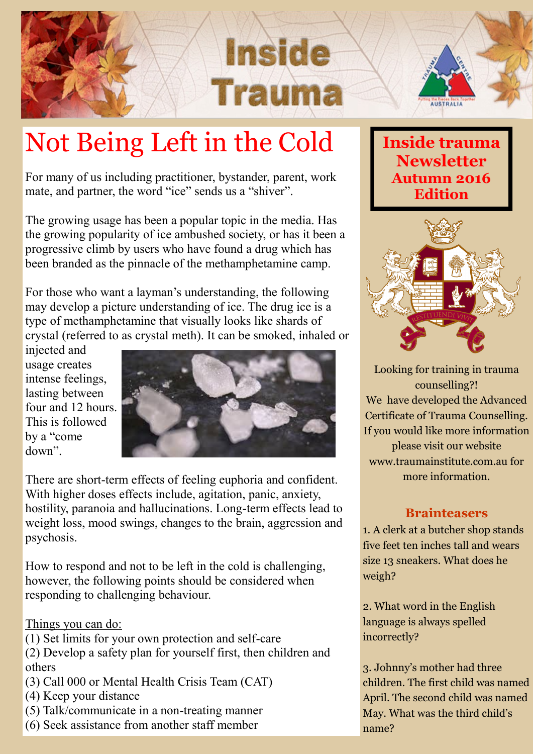

# Not Being Left in the Cold

For many of us including practitioner, bystander, parent, work mate, and partner, the word "ice" sends us a "shiver".

The growing usage has been a popular topic in the media. Has the growing popularity of ice ambushed society, or has it been a progressive climb by users who have found a drug which has been branded as the pinnacle of the methamphetamine camp.

For those who want a layman's understanding, the following may develop a picture understanding of ice. The drug ice is a type of methamphetamine that visually looks like shards of crystal (referred to as crystal meth). It can be smoked, inhaled or

injected and usage creates intense feelings, lasting between four and 12 hours. This is followed by a "come down".



There are short-term effects of feeling euphoria and confident. With higher doses effects include, agitation, panic, anxiety, hostility, paranoia and hallucinations. Long-term effects lead to weight loss, mood swings, changes to the brain, aggression and psychosis.

How to respond and not to be left in the cold is challenging, however, the following points should be considered when responding to challenging behaviour.

#### Things you can do:

(1) Set limits for your own protection and self-care

(2) Develop a safety plan for yourself first, then children and others

- (3) Call 000 or Mental Health Crisis Team (CAT)
- (4) Keep your distance
- (5) Talk/communicate in a non-treating manner
- (6) Seek assistance from another staff member

### **Inside trauma Newsletter Autumn 2016 Edition**



Looking for training in trauma counselling?! We have developed the Advanced Certificate of Trauma Counselling. If you would like more information please visit our website www.traumainstitute.com.au for more information.

#### **Brainteasers**

1. A clerk at a butcher shop stands five feet ten inches tall and wears size 13 sneakers. What does he weigh?

2. What word in the English language is always spelled incorrectly?

3. Johnny's mother had three children. The first child was named April. The second child was named May. What was the third child's name?